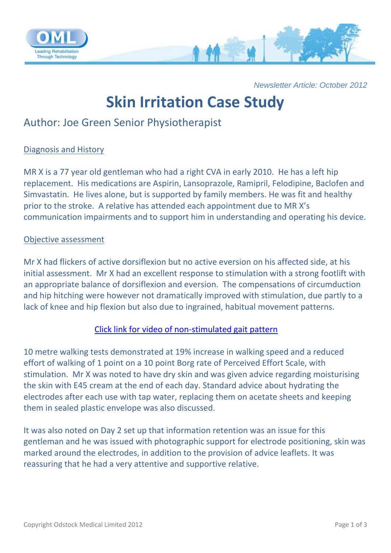

*Newsletter Article: October 2012*

# **Skin Irritation Case Study**

# Author: Joe Green Senior Physiotherapist

### Diagnosis and History

MR X is a 77 year old gentleman who had a right CVA in early 2010. He has a left hip replacement. His medications are Aspirin, Lansoprazole, Ramipril, Felodipine, Baclofen and Simvastatin. He lives alone, but is supported by family members. He was fit and healthy prior to the stroke. A relative has attended each appointment due to MR X's communication impairments and to support him in understanding and operating his device.

### Objective assessment

Mr X had flickers of active dorsiflexion but no active eversion on his affected side, at his initial assessment. Mr X had an excellent response to stimulation with a strong footlift with an appropriate balance of dorsiflexion and eversion. The compensations of circumduction and hip hitching were however not dramatically improved with stimulation, due partly to a lack of knee and hip flexion but also due to ingrained, habitual movement patterns.

# [Click link for video of non-stimulated gait pattern](http://www.odstockmedical.com/professionals-videos-show/Case%20studies/Summer%20case%20study%20%28skin%20irritation%20example%29%20walking%20no%20stimulation)

10 metre walking tests demonstrated at 19% increase in walking speed and a reduced effort of walking of 1 point on a 10 point Borg rate of Perceived Effort Scale, with stimulation. Mr X was noted to have dry skin and was given advice regarding moisturising the skin with E45 cream at the end of each day. Standard advice about hydrating the electrodes after each use with tap water, replacing them on acetate sheets and keeping them in sealed plastic envelope was also discussed.

It was also noted on Day 2 set up that information retention was an issue for this gentleman and he was issued with photographic support for electrode positioning, skin was marked around the electrodes, in addition to the provision of advice leaflets. It was reassuring that he had a very attentive and supportive relative.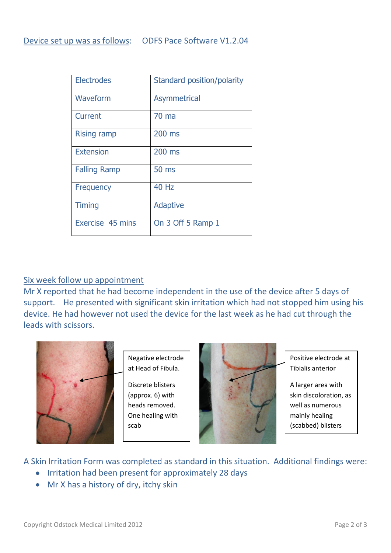| <b>Electrodes</b>   | Standard position/polarity |
|---------------------|----------------------------|
| Waveform            | <b>Asymmetrical</b>        |
| Current             | $70 \text{ ma}$            |
| <b>Rising ramp</b>  | 200 ms                     |
| <b>Extension</b>    | 200 ms                     |
| <b>Falling Ramp</b> | <b>50 ms</b>               |
| <b>Frequency</b>    | <b>40 Hz</b>               |
| <b>Timing</b>       | <b>Adaptive</b>            |
| Exercise 45 mins    | On 3 Off 5 Ramp 1          |

#### Six week follow up appointment

Mr X reported that he had become independent in the use of the device after 5 days of support. He presented with significant skin irritation which had not stopped him using his device. He had however not used the device for the last week as he had cut through the leads with scissors.



Negative electrode at Head of Fibula.

Discrete blisters (approx. 6) with heads removed. One healing with scab



Positive electrode at Tibialis anterior

A larger area with skin discoloration, as well as numerous mainly healing (scabbed) blisters

A Skin Irritation Form was completed as standard in this situation. Additional findings were:

• Irritation had been present for approximately 28 days

• Mr X has a history of dry, itchy skin